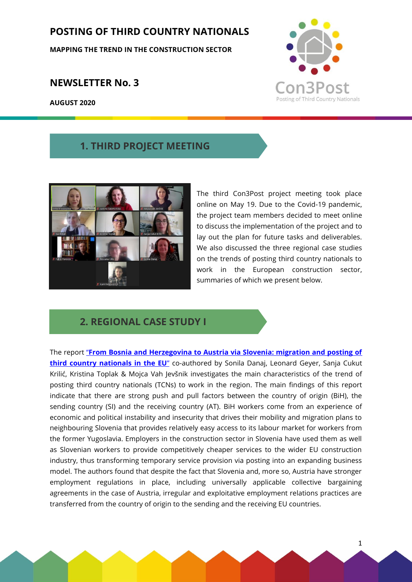## **POSTING OF THIRD COUNTRY NATIONALS**

**MAPPING THE TREND IN THE CONSTRUCTION SECTOR**

#### **NEWSLETTER No. 3**

**AUGUST 2020**



#### **1. THIRD PROJECT MEETING**



The third Con3Post project meeting took place online on May 19. Due to the Covid-19 pandemic, the project team members decided to meet online to discuss the implementation of the project and to lay out the plan for future tasks and deliverables. We also discussed the three regional case studies on the trends of posting third country nationals to work in the European construction sector, summaries of which we present below.

### **2. REGIONAL CASE STUDY I**

The report "**[From Bosnia and Herzegovina to Austria via Slovenia: migration and posting of](http://www.migracje.uw.edu.pl/publikacje/regional-case-study-from-bosnia-and-herzegovina-to-austria-via-slovenia-migration-and-posting-of-third-country-nationals-in-the-eu-work-package-5-2/)  [third country nationals in the EU](http://www.migracje.uw.edu.pl/publikacje/regional-case-study-from-bosnia-and-herzegovina-to-austria-via-slovenia-migration-and-posting-of-third-country-nationals-in-the-eu-work-package-5-2/)"** co-authored by Sonila Danaj, Leonard Geyer, Sanja Cukut Krilić, Kristina Toplak & Mojca Vah Jevšnik investigates the main characteristics of the trend of posting third country nationals (TCNs) to work in the region. The main findings of this report indicate that there are strong push and pull factors between the country of origin (BiH), the sending country (SI) and the receiving country (AT). BiH workers come from an experience of economic and political instability and insecurity that drives their mobility and migration plans to neighbouring Slovenia that provides relatively easy access to its labour market for workers from the former Yugoslavia. Employers in the construction sector in Slovenia have used them as well as Slovenian workers to provide competitively cheaper services to the wider EU construction industry, thus transforming temporary service provision via posting into an expanding business model. The authors found that despite the fact that Slovenia and, more so, Austria have stronger employment regulations in place, including universally applicable collective bargaining agreements in the case of Austria, irregular and exploitative employment relations practices are transferred from the country of origin to the sending and the receiving EU countries.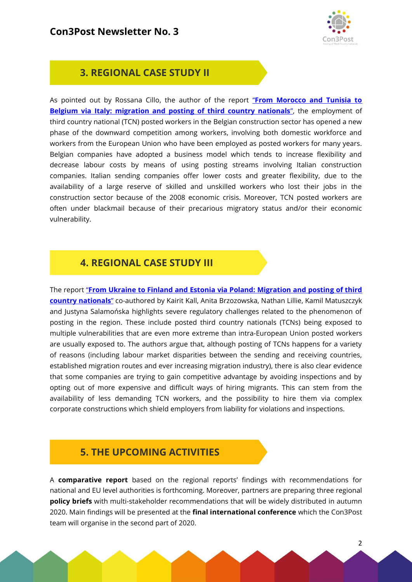

## **3. REGIONAL CASE STUDY II**

As pointed out by Rossana Cillo, the author of the report "**[From Morocco and Tunisia to](http://www.migracje.uw.edu.pl/publikacje/regional-case-study-from-morocco-and-tunisia-to-belgium-via-italy-migration-and-posting-of-third-country-nationals-work-package-3-2/)  [Belgium via Italy: migration and posting of third country nationals](http://www.migracje.uw.edu.pl/publikacje/regional-case-study-from-morocco-and-tunisia-to-belgium-via-italy-migration-and-posting-of-third-country-nationals-work-package-3-2/)"**, the employment of third country national (TCN) posted workers in the Belgian construction sector has opened a new phase of the downward competition among workers, involving both domestic workforce and workers from the European Union who have been employed as posted workers for many years. Belgian companies have adopted a business model which tends to increase flexibility and decrease labour costs by means of using posting streams involving Italian construction companies. Italian sending companies offer lower costs and greater flexibility, due to the availability of a large reserve of skilled and unskilled workers who lost their jobs in the construction sector because of the 2008 economic crisis. Moreover, TCN posted workers are often under blackmail because of their precarious migratory status and/or their economic vulnerability.

### **4. REGIONAL CASE STUDY III**

The report "**[From Ukraine to Finland and Estonia via Poland: Migration and posting of third](http://www.migracje.uw.edu.pl/publikacje/regional-case-study-from-ukraine-to-finland-and-estonia-via-poland-migration-and-posting-of-third-country-nationals-work-package-4/)  [country nationals](http://www.migracje.uw.edu.pl/publikacje/regional-case-study-from-ukraine-to-finland-and-estonia-via-poland-migration-and-posting-of-third-country-nationals-work-package-4/)**" co-authored by Kairit Kall, Anita Brzozowska, Nathan Lillie, Kamil Matuszczyk and Justyna Salamońska highlights severe regulatory challenges related to the phenomenon of posting in the region. These include posted third country nationals (TCNs) being exposed to multiple vulnerabilities that are even more extreme than intra-European Union posted workers are usually exposed to. The authors argue that, although posting of TCNs happens for a variety of reasons (including labour market disparities between the sending and receiving countries, established migration routes and ever increasing migration industry), there is also clear evidence that some companies are trying to gain competitive advantage by avoiding inspections and by opting out of more expensive and difficult ways of hiring migrants. This can stem from the availability of less demanding TCN workers, and the possibility to hire them via complex corporate constructions which shield employers from liability for violations and inspections.

# **5. THE UPCOMING ACTIVITIES**

A **comparative report** based on the regional reports' findings with recommendations for national and EU level authorities is forthcoming. Moreover, partners are preparing three regional **policy briefs** with multi-stakeholder recommendations that will be widely distributed in autumn 2020. Main findings will be presented at the **final international conference** which the Con3Post team will organise in the second part of 2020.